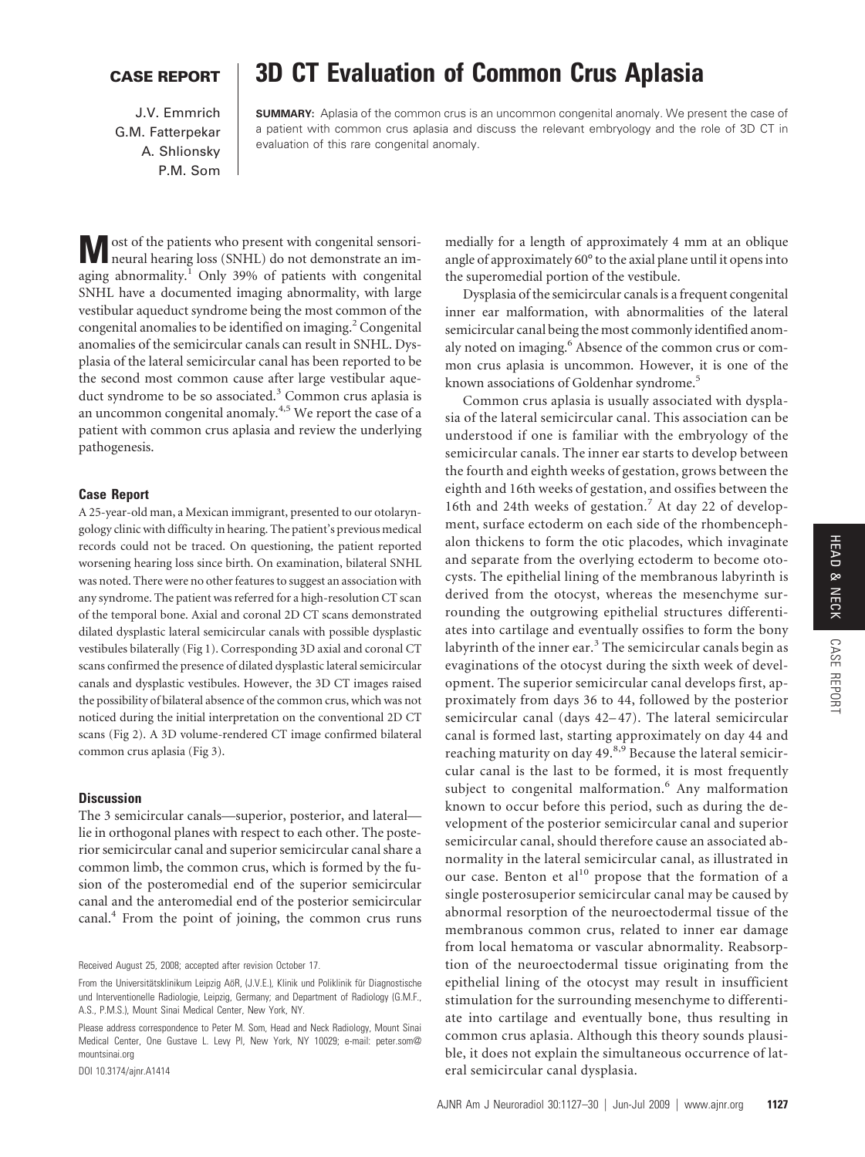# HEAD & NECK CASE REPORT

## **CASE REPORT 3D CT Evaluation of Common Crus Aplasia**

J.V. Emmrich G.M. Fatterpekar A. Shlionsky P.M. Som

**SUMMARY:** Aplasia of the common crus is an uncommon congenital anomaly. We present the case of a patient with common crus aplasia and discuss the relevant embryology and the role of 3D CT in evaluation of this rare congenital anomaly.

**M** ost of the patients who present with congenital sensori-<br>neural hearing loss (SNHL) do not demonstrate an imaging abnormality.<sup>1</sup> Only 39% of patients with congenital SNHL have a documented imaging abnormality, with large vestibular aqueduct syndrome being the most common of the congenital anomalies to be identified on imaging.<sup>2</sup> Congenital anomalies of the semicircular canals can result in SNHL. Dysplasia of the lateral semicircular canal has been reported to be the second most common cause after large vestibular aqueduct syndrome to be so associated.<sup>3</sup> Common crus aplasia is an uncommon congenital anomaly.<sup>4,5</sup> We report the case of a patient with common crus aplasia and review the underlying pathogenesis.

### **Case Report**

A 25-year-old man, a Mexican immigrant, presented to our otolaryngology clinic with difficulty in hearing. The patient's previous medical records could not be traced. On questioning, the patient reported worsening hearing loss since birth. On examination, bilateral SNHL was noted. There were no other features to suggest an association with any syndrome. The patient was referred for a high-resolution CT scan of the temporal bone. Axial and coronal 2D CT scans demonstrated dilated dysplastic lateral semicircular canals with possible dysplastic vestibules bilaterally (Fig 1). Corresponding 3D axial and coronal CT scans confirmed the presence of dilated dysplastic lateral semicircular canals and dysplastic vestibules. However, the 3D CT images raised the possibility of bilateral absence of the common crus, which was not noticed during the initial interpretation on the conventional 2D CT scans (Fig 2). A 3D volume-rendered CT image confirmed bilateral common crus aplasia (Fig 3).

#### **Discussion**

The 3 semicircular canals—superior, posterior, and lateral lie in orthogonal planes with respect to each other. The posterior semicircular canal and superior semicircular canal share a common limb, the common crus, which is formed by the fusion of the posteromedial end of the superior semicircular canal and the anteromedial end of the posterior semicircular canal.4 From the point of joining, the common crus runs

Received August 25, 2008; accepted after revision October 17.

DOI 10.3174/ajnr.A1414

medially for a length of approximately 4 mm at an oblique angle of approximately 60° to the axial plane until it opens into the superomedial portion of the vestibule.

Dysplasia of the semicircular canals is a frequent congenital inner ear malformation, with abnormalities of the lateral semicircular canal being the most commonly identified anomaly noted on imaging.<sup>6</sup> Absence of the common crus or common crus aplasia is uncommon. However, it is one of the known associations of Goldenhar syndrome.<sup>5</sup>

Common crus aplasia is usually associated with dysplasia of the lateral semicircular canal. This association can be understood if one is familiar with the embryology of the semicircular canals. The inner ear starts to develop between the fourth and eighth weeks of gestation, grows between the eighth and 16th weeks of gestation, and ossifies between the 16th and 24th weeks of gestation.<sup>7</sup> At day 22 of development, surface ectoderm on each side of the rhombencephalon thickens to form the otic placodes, which invaginate and separate from the overlying ectoderm to become otocysts. The epithelial lining of the membranous labyrinth is derived from the otocyst, whereas the mesenchyme surrounding the outgrowing epithelial structures differentiates into cartilage and eventually ossifies to form the bony labyrinth of the inner ear. $3$  The semicircular canals begin as evaginations of the otocyst during the sixth week of development. The superior semicircular canal develops first, approximately from days 36 to 44, followed by the posterior semicircular canal (days 42–47). The lateral semicircular canal is formed last, starting approximately on day 44 and reaching maturity on day 49.<sup>8,9</sup> Because the lateral semicircular canal is the last to be formed, it is most frequently subject to congenital malformation.<sup>6</sup> Any malformation known to occur before this period, such as during the development of the posterior semicircular canal and superior semicircular canal, should therefore cause an associated abnormality in the lateral semicircular canal, as illustrated in our case. Benton et al<sup>10</sup> propose that the formation of a single posterosuperior semicircular canal may be caused by abnormal resorption of the neuroectodermal tissue of the membranous common crus, related to inner ear damage from local hematoma or vascular abnormality. Reabsorption of the neuroectodermal tissue originating from the epithelial lining of the otocyst may result in insufficient stimulation for the surrounding mesenchyme to differentiate into cartilage and eventually bone, thus resulting in common crus aplasia. Although this theory sounds plausible, it does not explain the simultaneous occurrence of lateral semicircular canal dysplasia.

From the Universitätsklinikum Leipzig AöR, (J.V.E.), Klinik und Poliklinik für Diagnostische und Interventionelle Radiologie, Leipzig, Germany; and Department of Radiology (G.M.F., A.S., P.M.S.), Mount Sinai Medical Center, New York, NY.

Please address correspondence to Peter M. Som, Head and Neck Radiology, Mount Sinai Medical Center, One Gustave L. Levy Pl, New York, NY 10029; e-mail: peter.som@ mountsinai.org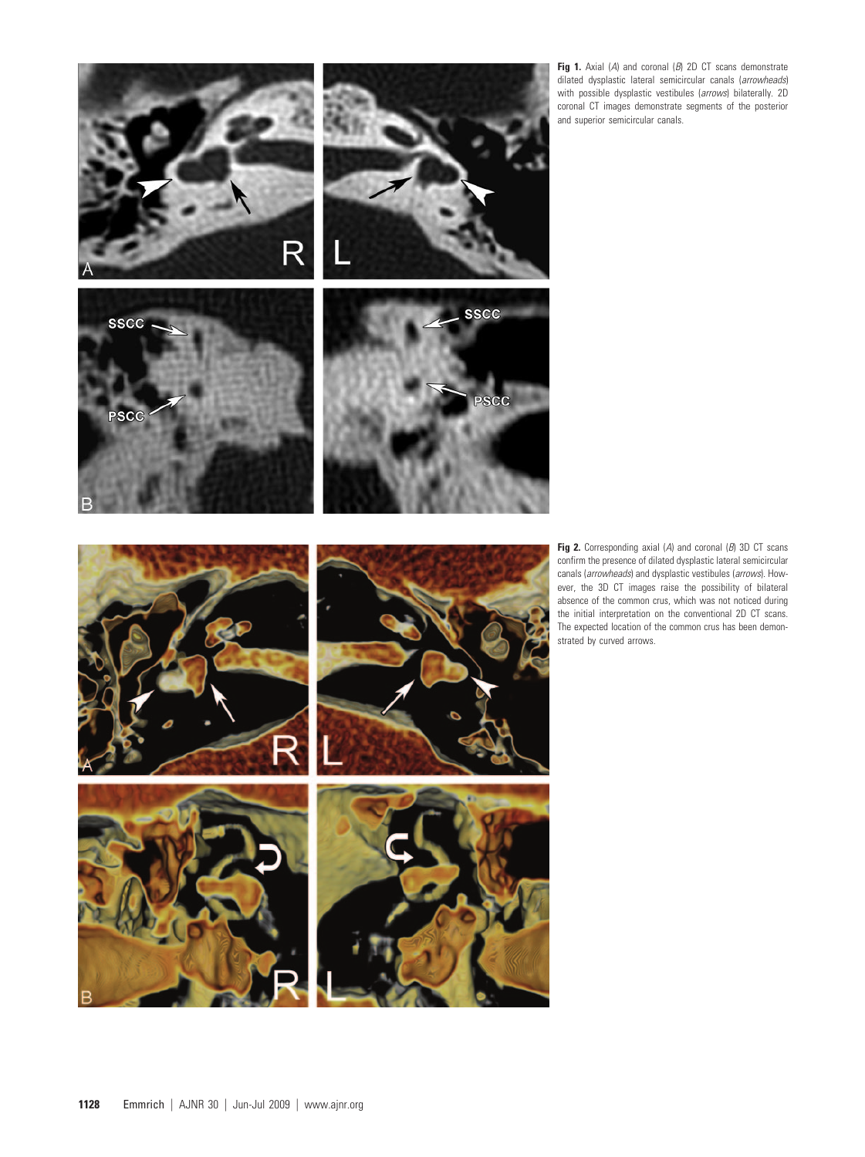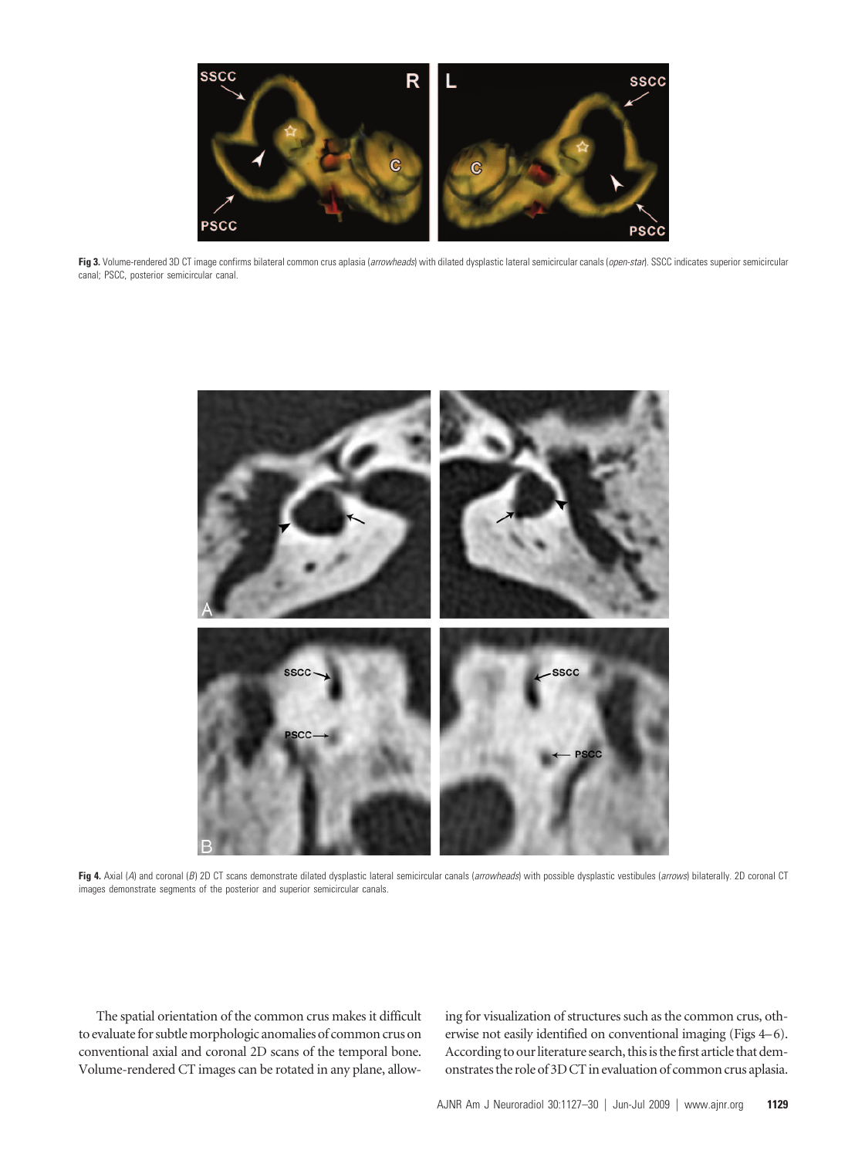

**Fig 3.** Volume-rendered 3D CT image confirms bilateral common crus aplasia (*arrowheads*) with dilated dysplastic lateral semicircular canals (*open-star*). SSCC indicates superior semicircular canal; PSCC, posterior semicircular canal.



**Fig 4.** Axial (*A*) and coronal (*B*) 2D CT scans demonstrate dilated dysplastic lateral semicircular canals (*arrowheads*) with possible dysplastic vestibules (*arrows*) bilaterally. 2D coronal CT images demonstrate segments of the posterior and superior semicircular canals.

The spatial orientation of the common crus makes it difficult to evaluate for subtle morphologic anomalies of common crus on conventional axial and coronal 2D scans of the temporal bone. Volume-rendered CT images can be rotated in any plane, allowing for visualization of structures such as the common crus, otherwise not easily identified on conventional imaging (Figs 4–6). According to our literature search, this is the first article that demonstrates the role of 3D CT in evaluation of common crus aplasia.